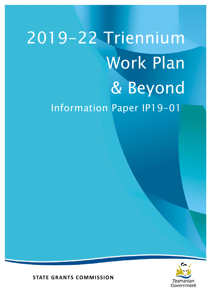# 2019-22 Triennium Work Plan & Beyond Information Paper IP19-01



 **STATE GRANTS COMMISSION**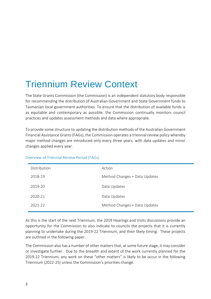## Triennium Review Context

The State Grants Commission (the Commission) is an independent statutory body responsible for recommending the distribution of Australian Government and State Government funds to Tasmanian local government authorities. To ensure that the distribution of available funds is as equitable and contemporary as possible, the Commission continually monitors council practices and updates assessment methods and data where appropriate.

To provide some structure to updating the distribution methods of the Australian Government Financial Assistance Grants(FAGs), the Commission operates a triennial review policy whereby major method changes are introduced only every three years, with data updates and minor changes applied every year.

| Distribution | Action                        |
|--------------|-------------------------------|
| 2018-19      | Method Changes + Data Updates |
| 2019-20      | Data Updates                  |
| 2020-21      | Data Updates                  |
| 2021-22      | Method Changes + Data Updates |
|              |                               |

#### Overview of Triennial Review Period (FAGs)

As this is the start of the next Triennium, the 2019 Hearings and Visits discussions provide an opportunity for the Commission to also indicate to councils the projects that it is currently planning to undertake during the 2019‐22 Triennium, and their likely timing. These projects are outlined in the following paper.

The Commission also has a number of other matters that, at some future stage, it may consider or investigate further. Due to the breadth and extent of the work currently planned for the 2019-22 Triennium, any work on these "other matters" is likely to be occur in the following Triennium (2022‐25) unless the Commission's priorities change.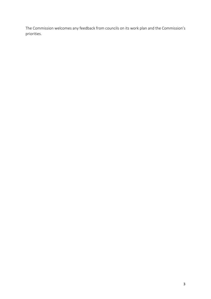The Commission welcomes any feedback from councils on its work plan and the Commission's priorities.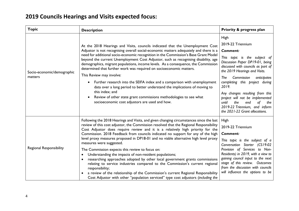| <b>Topic</b>                          | <b>Description</b>                                                                                                                                                                                                                                                                                                                                                                                                                                                                                                                                                                                                                                                                                                                                                                                                                                                                                                                                                                        | Priority & progress plan                                                                                                                                                                                                                                                                                                                                                                                                                    |
|---------------------------------------|-------------------------------------------------------------------------------------------------------------------------------------------------------------------------------------------------------------------------------------------------------------------------------------------------------------------------------------------------------------------------------------------------------------------------------------------------------------------------------------------------------------------------------------------------------------------------------------------------------------------------------------------------------------------------------------------------------------------------------------------------------------------------------------------------------------------------------------------------------------------------------------------------------------------------------------------------------------------------------------------|---------------------------------------------------------------------------------------------------------------------------------------------------------------------------------------------------------------------------------------------------------------------------------------------------------------------------------------------------------------------------------------------------------------------------------------------|
| Socio-economic/demographic<br>matters | At the 2018 Hearings and Visits, councils indicated that the Unemployment Cost<br>Adjustor is not recognising overall social-economic matters adequately and there is a<br>need for additional socio-economic recognition in the Commission's Base Grant Model<br>beyond the current Unemployment Cost Adjustor, such as recognising disability, age<br>demographics, migrant populations, income levels. As a consequence, the Commission<br>determined that further work was required on socioeconomic matters.<br>This Review may involve:<br>Further research into the SEIFA index and a comparison with unemployment<br>data over a long period to better understand the implications of moving to<br>this index; and<br>Review of other state grant commissions methodologies to see what<br>socioeconomic cost adjustors are used and how.                                                                                                                                         | High<br>2019-22 Triennium<br>Comment:<br>This topic is the subject of<br>Discussion Paper DP19-01, being<br>discussed with councils as part of<br>the 2019 Hearings and Visits.<br>The<br>Commission<br>anticipates<br>completing this project during<br>2019.<br>Any changes resulting from this<br>project will not be implemented<br>the<br>until<br>of<br>end<br>the<br>2019-22 Triennium, and inform<br>the 2021-22 Grant allocations. |
| Regional Responsibility               | Following the 2018 Hearings and Visits, and given changing circumstances since the last<br>review of this cost adjustor, the Commission resolved that the Regional Responsibility<br>Cost Adjustor does require review and it is a relatively high priority for the<br>Commission. 2018 Feedback from councils indicated no support for any of the high<br>level proxy measures proposed in DP18-01 and no viable alternative high level proxy<br>measures were suggested.<br>The Commission expects this review to focus on:<br>Understanding the impacts of non-resident populations;<br>$\bullet$<br>researching approaches adopted by other local government grants commissions<br>$\bullet$<br>relating to service industries compared to the Commission's current regional<br>responsibility;<br>a review of the relationship of the Commission's current Regional Responsibility<br>$\bullet$<br>Cost Adjustor with other "population serviced" type cost adjustors (including the | High<br>2019-22 Triennium<br>Comment:<br>This topic is the subject of a<br>Conversation Starter (CS19-02<br>Provision of Services to Non-<br>Residents) in 2019, with a view to<br>gaining council input to the next<br>stage of this review. Outcomes<br>from the discussion with councils<br>will influence the options to be                                                                                                             |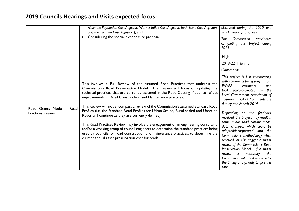|                                                     | Absentee Population Cost Adjustor, Worker Influx Cost Adjustor, both Scale Cost Adjustors<br>and the Tourism Cost Adjustors); and<br>Considering the special expenditure proposal.                                                                                                                                                                                                                                                                                                                                                                                                                                                                                                                                                                                                                                                                                                | discussed during the 2020 and<br>2021 Hearings and Visits.<br>Commission<br>The<br>anticipates<br>completing this project during<br>2021.                                                                                                                                                                                                                                                                                                                                                                                                                                                                                                     |
|-----------------------------------------------------|-----------------------------------------------------------------------------------------------------------------------------------------------------------------------------------------------------------------------------------------------------------------------------------------------------------------------------------------------------------------------------------------------------------------------------------------------------------------------------------------------------------------------------------------------------------------------------------------------------------------------------------------------------------------------------------------------------------------------------------------------------------------------------------------------------------------------------------------------------------------------------------|-----------------------------------------------------------------------------------------------------------------------------------------------------------------------------------------------------------------------------------------------------------------------------------------------------------------------------------------------------------------------------------------------------------------------------------------------------------------------------------------------------------------------------------------------------------------------------------------------------------------------------------------------|
| Road Grants Model - Road<br><b>Practices Review</b> | This involves a Full Review of the assumed Road Practices that underpin the<br>Commission's Road Preservation Model. The Review will focus on updating the<br>technical practices that are currently assumed in the Road Costing Model to reflect<br>improvements in Road Construction and Maintenance practices.<br>This Review will not encompass a review of the Commission's assumed Standard Road<br>Profiles (i.e. the Standard Road Profiles for Urban Sealed, Rural sealed and Unsealed<br>Roads will continue as they are currently defined).<br>This Road Practices Review may involve the engagement of an engineering consultant,<br>and/or a working group of council engineers to determine the standard practices being<br>used by councils for road construction and maintenance practices, to determine the<br>current annual asset preservation cost for roads. | High<br>2019-22 Triennium<br>Comment:<br>This project is just commencing<br>with comments being sought from<br><b>IPWEA</b><br>engineers<br>and<br>facilitated/co-ordinated<br>by<br>the<br>Local Government Association of<br>Tasmania (LGAT). Comments are<br>due by mid-March 2019.<br>Depending on the feedback<br>received, this project may result in<br>some minor road costing model<br>data changes, which could be<br>adopted/incorporated into the<br>Commission's methodology when<br>received, or else trigger a major<br>review of the Commission's Road<br>Preservation Model. If a major<br>review<br>is<br>the<br>necessary, |
|                                                     |                                                                                                                                                                                                                                                                                                                                                                                                                                                                                                                                                                                                                                                                                                                                                                                                                                                                                   | Commission will need to consider<br>the timing and priority to give this<br>task.                                                                                                                                                                                                                                                                                                                                                                                                                                                                                                                                                             |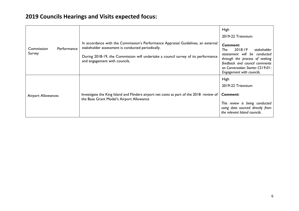| Commission<br>Survey      | Performance | In accordance with the Commission's Performance Appraisal Guidelines, an external<br>stakeholder assessment is conducted periodically.<br>During 2018-19, the Commission will undertake a council survey of its performance<br>and engagement with councils. | High<br>2019-22 Triennium<br>Comment:<br>2018-19<br>stakeholder<br>The<br>assessment will be conducted<br>through the process of seeking<br>feedback and council comments<br>on Conversation Starter CS19-01:<br>Engagement with councils. |
|---------------------------|-------------|--------------------------------------------------------------------------------------------------------------------------------------------------------------------------------------------------------------------------------------------------------------|--------------------------------------------------------------------------------------------------------------------------------------------------------------------------------------------------------------------------------------------|
| <b>Airport Allowances</b> |             | Investigate the King Island and Flinders airport net costs as part of the 2018 review of<br>the Base Grant Model's Airport Allowance                                                                                                                         | High<br>2019-22 Triennium<br>Comment:<br>This review is being conducted<br>using data sourced directly from<br>the relevant Island councils.                                                                                               |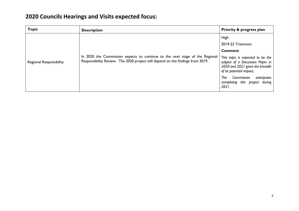| <b>Topic</b>                   | <b>Description</b>                                                                                                                                             | <b>Priority &amp; progress plan</b>                                                                                                 |
|--------------------------------|----------------------------------------------------------------------------------------------------------------------------------------------------------------|-------------------------------------------------------------------------------------------------------------------------------------|
|                                | In 2020 the Commission expects to continue to the next stage of the Regional<br>Responsibility Review. The 2020 project will depend on the findings from 2019. | High                                                                                                                                |
|                                |                                                                                                                                                                | 2019-22 Triennium                                                                                                                   |
|                                |                                                                                                                                                                | Comment:                                                                                                                            |
| <b>Regional Responsibility</b> |                                                                                                                                                                | This topic is expected to be the<br>subject of a Discussion Paper in<br>2020 and 2021 given the breadth<br>of its potential impact. |
|                                |                                                                                                                                                                | The<br>Commission<br>anticipates<br>completing this project during<br>2021.                                                         |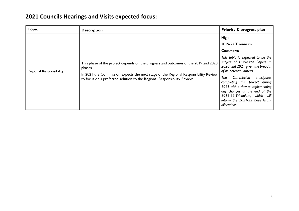| <b>Topic</b>                   | <b>Description</b>                                                                                                                                                                                                                                               | Priority & progress plan                                                                                                                                                                                                                                                                                                                                |
|--------------------------------|------------------------------------------------------------------------------------------------------------------------------------------------------------------------------------------------------------------------------------------------------------------|---------------------------------------------------------------------------------------------------------------------------------------------------------------------------------------------------------------------------------------------------------------------------------------------------------------------------------------------------------|
| <b>Regional Responsibility</b> | This phase of the project depends on the progress and outcomes of the 2019 and 2020<br>phases.<br>In 2021 the Commission expects the next stage of the Regional Responsibility Review<br>to focus on a preferred solution to the Regional Responsibility Review. | High<br>2019-22 Triennium<br>Comment:<br>This topic is expected to be the<br>subject of Discussion Papers in<br>2020 and 2021 given the breadth<br>of its potential impact.<br>The<br>Commission<br>anticipates<br>completing this project during<br>2021 with a view to implementing<br>any changes at the end of the<br>2019-22 Triennium, which will |
|                                |                                                                                                                                                                                                                                                                  | inform the 2021-22 Base Grant<br>allocations.                                                                                                                                                                                                                                                                                                           |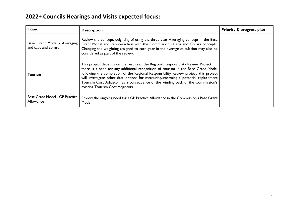| <b>Topic</b>                                         | <b>Description</b>                                                                                                                                                                                                                                                                                                                                                                                                                                                               | Priority & progress plan |
|------------------------------------------------------|----------------------------------------------------------------------------------------------------------------------------------------------------------------------------------------------------------------------------------------------------------------------------------------------------------------------------------------------------------------------------------------------------------------------------------------------------------------------------------|--------------------------|
| Base Grant Model - Averaging<br>and caps and collars | Review the concept/weighting of using the three year Averaging concept in the Base<br>Grant Model and its interaction with the Commission's Caps and Collars concepts.<br>Changing the weighting assigned to each year in the average calculation may also be<br>considered as part of the review.                                                                                                                                                                               |                          |
| Tourism                                              | This project depends on the results of the Regional Responsibility Review Project. If<br>there is a need for any additional recognition of tourism in the Base Grant Model<br>following the completion of the Regional Responsibility Review project, this project<br>will investigate other data options for measuring/informing a potential replacement<br>Tourism Cost Adjustor (as a consequence of the winding back of the Commission's<br>existing Tourism Cost Adjustor). |                          |
| Base Grant Model - GP Practice<br>Allowance          | Review the ongoing need for a GP Practice Allowance in the Commission's Base Grant<br>Model                                                                                                                                                                                                                                                                                                                                                                                      |                          |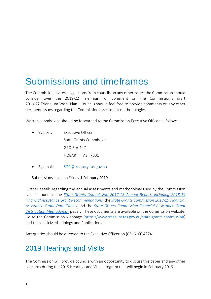## Submissions and timeframes

The Commission invites suggestions from councils on any other issues the Commission should consider over the 2019‐22 Triennium or comment on the Commission's draft 2019‐22 Triennium Work Plan. Councils should feel free to provide comments on any other pertinent issues regarding the Commission assessment methodologies.

Written submissions should be forwarded to the Commission Executive Officer as follows:

- By post: Executive Officer State Grants Commission GPO Box 147 HOBART TAS 7001
- By email: SGC@treasury.tas.gov.au

Submissions close on Friday 1 February 2019.

Further details regarding the annual assessments and methodology used by the Commission can be found in the *State Grants Commission 2017‐18 Annual Report, including 2018‐19 Financial Assistance Grant Recommendations*, the *State Grants Commission 2018‐19 Financial Assistance Grant Data Tables* and the *State Grants Commission Financial Assistance Grant Distribution Methodology* paper. These documents are available on the Commission website. Go to the Commission webpage (https://www.treasury.tas.gov.au/state‐grants‐commission) and then click Methodology and Publications.

Any queries should be directed to the Executive Officer on (03) 6166 4274.

### 2019 Hearings and Visits

The Commission will provide councils with an opportunity to discuss this paper and any other concerns during the 2019 Hearings and Visits program that will begin in February 2019.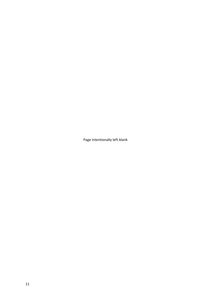Page intentionally left blank